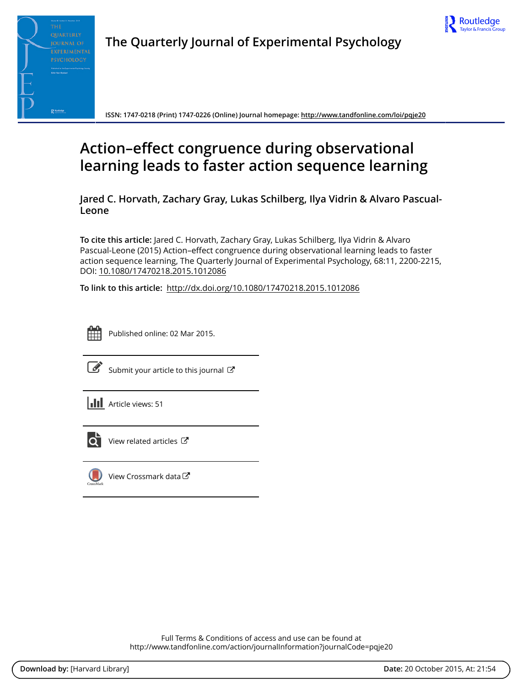



**The Quarterly Journal of Experimental Psychology**

**ISSN: 1747-0218 (Print) 1747-0226 (Online) Journal homepage:<http://www.tandfonline.com/loi/pqje20>**

# **Action–effect congruence during observational learning leads to faster action sequence learning**

**Jared C. Horvath, Zachary Gray, Lukas Schilberg, Ilya Vidrin & Alvaro Pascual-Leone**

**To cite this article:** Jared C. Horvath, Zachary Gray, Lukas Schilberg, Ilya Vidrin & Alvaro Pascual-Leone (2015) Action–effect congruence during observational learning leads to faster action sequence learning, The Quarterly Journal of Experimental Psychology, 68:11, 2200-2215, DOI: [10.1080/17470218.2015.1012086](http://www.tandfonline.com/action/showCitFormats?doi=10.1080/17470218.2015.1012086)

**To link to this article:** <http://dx.doi.org/10.1080/17470218.2015.1012086>



Published online: 02 Mar 2015.



 $\overrightarrow{S}$  [Submit your article to this journal](http://www.tandfonline.com/action/authorSubmission?journalCode=pqje20&page=instructions)  $\overrightarrow{S}$ 





[View related articles](http://www.tandfonline.com/doi/mlt/10.1080/17470218.2015.1012086) C



 $\bigcirc$  [View Crossmark data](http://crossmark.crossref.org/dialog/?doi=10.1080/17470218.2015.1012086&domain=pdf&date_stamp=2015-03-02) $\mathbb{Z}$ 

Full Terms & Conditions of access and use can be found at <http://www.tandfonline.com/action/journalInformation?journalCode=pqje20>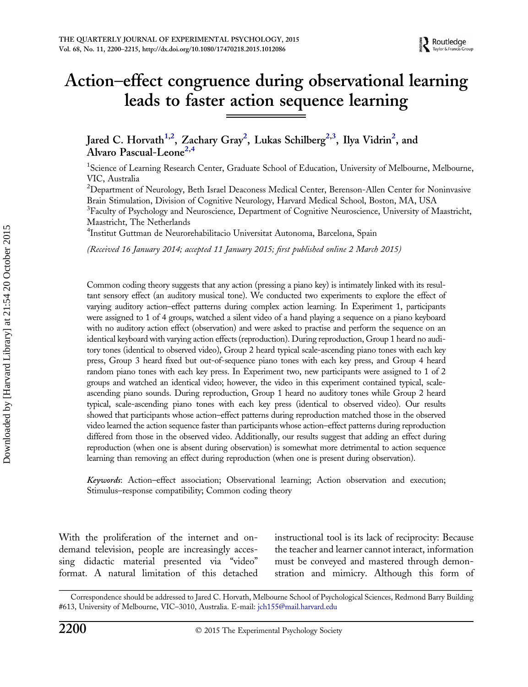# Action–effect congruence during observational learning leads to faster action sequence learning

Jared C. Horvath<sup>1,2</sup>, Zachary Gray<sup>2</sup>, Lukas Schilberg<sup>2,3</sup>, Ilya Vidrin<sup>2</sup>, and Alvaro Pascual-Leone<sup>2,4</sup>

<sup>1</sup>Science of Learning Research Center, Graduate School of Education, University of Melbourne, Melbourne, VIC, Australia

 $^{2}$ Department of Neurology, Beth Israel Deaconess Medical Center, Berenson-Allen Center for Noninvasive Brain Stimulation, Division of Cognitive Neurology, Harvard Medical School, Boston, MA, USA <sup>3</sup>Faculty of Psychology and Neuroscience, Department of Cognitive Neuroscience, University of Maastricht, Maastricht, The Netherlands

4 Institut Guttman de Neurorehabilitacio Universitat Autonoma, Barcelona, Spain

(Received 16 January 2014; accepted 11 January 2015; first published online 2 March 2015)

Common coding theory suggests that any action (pressing a piano key) is intimately linked with its resultant sensory effect (an auditory musical tone). We conducted two experiments to explore the effect of varying auditory action–effect patterns during complex action learning. In Experiment 1, participants were assigned to 1 of 4 groups, watched a silent video of a hand playing a sequence on a piano keyboard with no auditory action effect (observation) and were asked to practise and perform the sequence on an identical keyboard with varying action effects (reproduction). During reproduction, Group 1 heard no auditory tones (identical to observed video), Group 2 heard typical scale-ascending piano tones with each key press, Group 3 heard fixed but out-of-sequence piano tones with each key press, and Group 4 heard random piano tones with each key press. In Experiment two, new participants were assigned to 1 of 2 groups and watched an identical video; however, the video in this experiment contained typical, scaleascending piano sounds. During reproduction, Group 1 heard no auditory tones while Group 2 heard typical, scale-ascending piano tones with each key press (identical to observed video). Our results showed that participants whose action–effect patterns during reproduction matched those in the observed video learned the action sequence faster than participants whose action–effect patterns during reproduction differed from those in the observed video. Additionally, our results suggest that adding an effect during reproduction (when one is absent during observation) is somewhat more detrimental to action sequence learning than removing an effect during reproduction (when one is present during observation).

Keywords: Action–effect association; Observational learning; Action observation and execution; Stimulus–response compatibility; Common coding theory

With the proliferation of the internet and ondemand television, people are increasingly accessing didactic material presented via "video" format. A natural limitation of this detached instructional tool is its lack of reciprocity: Because the teacher and learner cannot interact, information must be conveyed and mastered through demonstration and mimicry. Although this form of

Correspondence should be addressed to Jared C. Horvath, Melbourne School of Psychological Sciences, Redmond Barry Building #613, University of Melbourne, VIC–3010, Australia. E-mail: [jch155@mail.harvard.edu](mailto:jch155@mail.harvard.edu)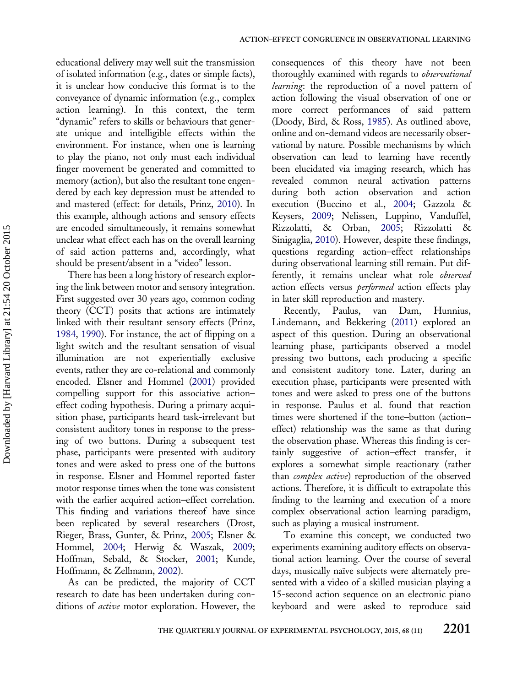educational delivery may well suit the transmission of isolated information (e.g., dates or simple facts), it is unclear how conducive this format is to the conveyance of dynamic information (e.g., complex action learning). In this context, the term "dynamic" refers to skills or behaviours that generate unique and intelligible effects within the environment. For instance, when one is learning to play the piano, not only must each individual finger movement be generated and committed to memory (action), but also the resultant tone engendered by each key depression must be attended to and mastered (effect: for details, Prinz, [2010](#page-16-0)). In this example, although actions and sensory effects are encoded simultaneously, it remains somewhat unclear what effect each has on the overall learning of said action patterns and, accordingly, what should be present/absent in a "video" lesson.

There has been a long history of research exploring the link between motor and sensory integration. First suggested over 30 years ago, common coding theory (CCT) posits that actions are intimately linked with their resultant sensory effects (Prinz, [1984,](#page-16-0) [1990\)](#page-16-0). For instance, the act of flipping on a light switch and the resultant sensation of visual illumination are not experientially exclusive events, rather they are co-relational and commonly encoded. Elsner and Hommel [\(2001](#page-15-0)) provided compelling support for this associative action– effect coding hypothesis. During a primary acquisition phase, participants heard task-irrelevant but consistent auditory tones in response to the pressing of two buttons. During a subsequent test phase, participants were presented with auditory tones and were asked to press one of the buttons in response. Elsner and Hommel reported faster motor response times when the tone was consistent with the earlier acquired action–effect correlation. This finding and variations thereof have since been replicated by several researchers (Drost, Rieger, Brass, Gunter, & Prinz, [2005](#page-15-0); Elsner & Hommel, [2004;](#page-15-0) Herwig & Waszak, [2009](#page-15-0); Hoffman, Sebald, & Stocker, [2001;](#page-15-0) Kunde, Hoffmann, & Zellmann, [2002](#page-15-0)).

As can be predicted, the majority of CCT research to date has been undertaken during conditions of *active* motor exploration. However, the

consequences of this theory have not been thoroughly examined with regards to *observational* learning: the reproduction of a novel pattern of action following the visual observation of one or more correct performances of said pattern (Doody, Bird, & Ross, [1985\)](#page-15-0). As outlined above, online and on-demand videos are necessarily observational by nature. Possible mechanisms by which observation can lead to learning have recently been elucidated via imaging research, which has revealed common neural activation patterns during both action observation and action execution (Buccino et al., [2004](#page-15-0); Gazzola & Keysers, [2009;](#page-15-0) Nelissen, Luppino, Vanduffel, Rizzolatti, & Orban, [2005;](#page-15-0) Rizzolatti & Sinigaglia, [2010](#page-16-0)). However, despite these findings, questions regarding action–effect relationships during observational learning still remain. Put differently, it remains unclear what role observed action effects versus *performed* action effects play in later skill reproduction and mastery.

Recently, Paulus, van Dam, Hunnius, Lindemann, and Bekkering [\(2011](#page-15-0)) explored an aspect of this question. During an observational learning phase, participants observed a model pressing two buttons, each producing a specific and consistent auditory tone. Later, during an execution phase, participants were presented with tones and were asked to press one of the buttons in response. Paulus et al. found that reaction times were shortened if the tone–button (action– effect) relationship was the same as that during the observation phase. Whereas this finding is certainly suggestive of action–effect transfer, it explores a somewhat simple reactionary (rather than *complex active*) reproduction of the observed actions. Therefore, it is difficult to extrapolate this finding to the learning and execution of a more complex observational action learning paradigm, such as playing a musical instrument.

To examine this concept, we conducted two experiments examining auditory effects on observational action learning. Over the course of several days, musically naïve subjects were alternately presented with a video of a skilled musician playing a 15-second action sequence on an electronic piano keyboard and were asked to reproduce said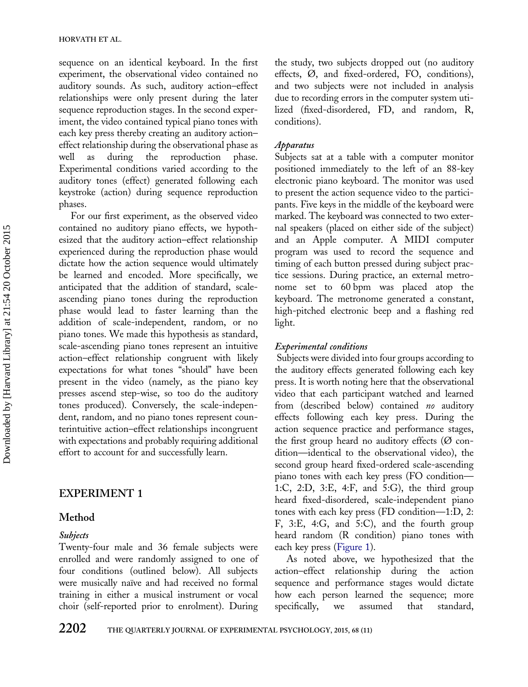sequence on an identical keyboard. In the first experiment, the observational video contained no auditory sounds. As such, auditory action–effect relationships were only present during the later sequence reproduction stages. In the second experiment, the video contained typical piano tones with each key press thereby creating an auditory action– effect relationship during the observational phase as well as during the reproduction phase. Experimental conditions varied according to the auditory tones (effect) generated following each keystroke (action) during sequence reproduction phases.

For our first experiment, as the observed video contained no auditory piano effects, we hypothesized that the auditory action–effect relationship experienced during the reproduction phase would dictate how the action sequence would ultimately be learned and encoded. More specifically, we anticipated that the addition of standard, scaleascending piano tones during the reproduction phase would lead to faster learning than the addition of scale-independent, random, or no piano tones. We made this hypothesis as standard, scale-ascending piano tones represent an intuitive action–effect relationship congruent with likely expectations for what tones "should" have been present in the video (namely, as the piano key presses ascend step-wise, so too do the auditory tones produced). Conversely, the scale-independent, random, and no piano tones represent counterintuitive action–effect relationships incongruent with expectations and probably requiring additional effort to account for and successfully learn.

# EXPERIMENT 1

# Method

# Subjects

Twenty-four male and 36 female subjects were enrolled and were randomly assigned to one of four conditions (outlined below). All subjects were musically naïve and had received no formal training in either a musical instrument or vocal choir (self-reported prior to enrolment). During

the study, two subjects dropped out (no auditory effects, Ø, and fixed-ordered, FO, conditions), and two subjects were not included in analysis due to recording errors in the computer system utilized (fixed-disordered, FD, and random, R, conditions).

## Apparatus

Subjects sat at a table with a computer monitor positioned immediately to the left of an 88-key electronic piano keyboard. The monitor was used to present the action sequence video to the participants. Five keys in the middle of the keyboard were marked. The keyboard was connected to two external speakers (placed on either side of the subject) and an Apple computer. A MIDI computer program was used to record the sequence and timing of each button pressed during subject practice sessions. During practice, an external metronome set to 60 bpm was placed atop the keyboard. The metronome generated a constant, high-pitched electronic beep and a flashing red light.

# Experimental conditions

Subjects were divided into four groups according to the auditory effects generated following each key press. It is worth noting here that the observational video that each participant watched and learned from (described below) contained no auditory effects following each key press. During the action sequence practice and performance stages, the first group heard no auditory effects  $(\emptyset$  condition—identical to the observational video), the second group heard fixed-ordered scale-ascending piano tones with each key press (FO condition— 1:C, 2:D, 3:E, 4:F, and 5:G), the third group heard fixed-disordered, scale-independent piano tones with each key press (FD condition—1:D, 2: F, 3:E, 4:G, and 5:C), and the fourth group heard random (R condition) piano tones with each key press ([Figure 1\)](#page-4-0).

As noted above, we hypothesized that the action–effect relationship during the action sequence and performance stages would dictate how each person learned the sequence; more specifically, we assumed that standard,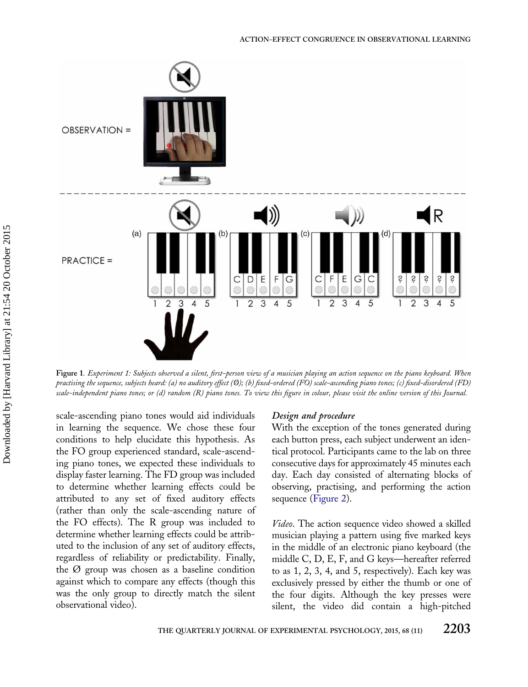<span id="page-4-0"></span>

Figure 1. Experiment 1: Subjects observed a silent, first-person view of a musician playing an action sequence on the piano keyboard. When practising the sequence, subjects heard: (a) no auditory effect (Ø); (b) fixed-ordered (FO) scale-ascending piano tones; (c) fixed-disordered (FD) scale-independent piano tones; or (d) random (R) piano tones. To view this figure in colour, please visit the online version of this Journal.

scale-ascending piano tones would aid individuals in learning the sequence. We chose these four conditions to help elucidate this hypothesis. As the FO group experienced standard, scale-ascending piano tones, we expected these individuals to display faster learning. The FD group was included to determine whether learning effects could be attributed to any set of fixed auditory effects (rather than only the scale-ascending nature of the FO effects). The R group was included to determine whether learning effects could be attributed to the inclusion of any set of auditory effects, regardless of reliability or predictability. Finally, the Ø group was chosen as a baseline condition against which to compare any effects (though this was the only group to directly match the silent observational video).

#### Design and procedure

With the exception of the tones generated during each button press, each subject underwent an identical protocol. Participants came to the lab on three consecutive days for approximately 45 minutes each day. Each day consisted of alternating blocks of observing, practising, and performing the action sequence ([Figure 2](#page-5-0)).

Video. The action sequence video showed a skilled musician playing a pattern using five marked keys in the middle of an electronic piano keyboard (the middle C, D, E, F, and G keys—hereafter referred to as 1, 2, 3, 4, and 5, respectively). Each key was exclusively pressed by either the thumb or one of the four digits. Although the key presses were silent, the video did contain a high-pitched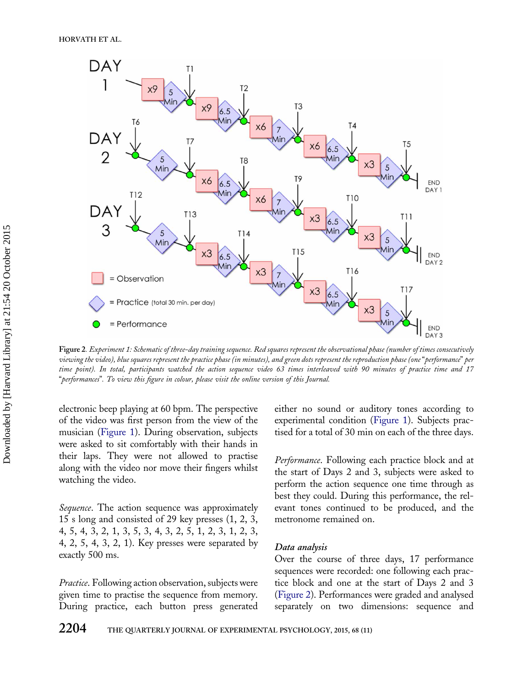<span id="page-5-0"></span>

Figure 2. Experiment 1: Schematic of three-day training sequence. Red squares represent the observational phase (number of times consecutively viewing the video), blue squares represent the practice phase (in minutes), and green dots represent the reproduction phase (one "performance" per time point). In total, participants watched the action sequence video 63 times interleaved with 90 minutes of practice time and 17 "performances". To view this figure in colour, please visit the online version of this Journal.

electronic beep playing at 60 bpm. The perspective of the video was first person from the view of the musician [\(Figure 1\)](#page-4-0). During observation, subjects were asked to sit comfortably with their hands in their laps. They were not allowed to practise along with the video nor move their fingers whilst watching the video.

Sequence. The action sequence was approximately 15 s long and consisted of 29 key presses (1, 2, 3, 4, 5, 4, 3, 2, 1, 3, 5, 3, 4, 3, 2, 5, 1, 2, 3, 1, 2, 3, 4, 2, 5, 4, 3, 2, 1). Key presses were separated by exactly 500 ms.

Practice. Following action observation, subjects were given time to practise the sequence from memory. During practice, each button press generated either no sound or auditory tones according to experimental condition [\(Figure 1\)](#page-4-0). Subjects practised for a total of 30 min on each of the three days.

Performance. Following each practice block and at the start of Days 2 and 3, subjects were asked to perform the action sequence one time through as best they could. During this performance, the relevant tones continued to be produced, and the metronome remained on.

#### Data analysis

Over the course of three days, 17 performance sequences were recorded: one following each practice block and one at the start of Days 2 and 3 (Figure 2). Performances were graded and analysed separately on two dimensions: sequence and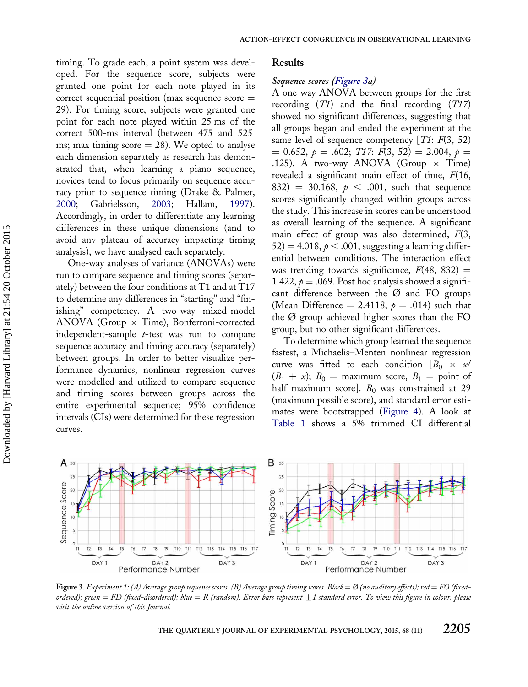<span id="page-6-0"></span>timing. To grade each, a point system was developed. For the sequence score, subjects were granted one point for each note played in its correct sequential position (max sequence score  $=$ 29). For timing score, subjects were granted one point for each note played within 25 ms of the correct 500-ms interval (between 475 and 525 ms; max timing score  $= 28$ ). We opted to analyse each dimension separately as research has demonstrated that, when learning a piano sequence, novices tend to focus primarily on sequence accuracy prior to sequence timing (Drake & Palmer, [2000;](#page-15-0) Gabrielsson, [2003;](#page-15-0) Hallam, [1997](#page-15-0)). Accordingly, in order to differentiate any learning differences in these unique dimensions (and to avoid any plateau of accuracy impacting timing analysis), we have analysed each separately.

One-way analyses of variance (ANOVAs) were run to compare sequence and timing scores (separately) between the four conditions at T1 and at T17 to determine any differences in "starting" and "finishing" competency. A two-way mixed-model ANOVA (Group  $\times$  Time), Bonferroni-corrected independent-sample t-test was run to compare sequence accuracy and timing accuracy (separately) between groups. In order to better visualize performance dynamics, nonlinear regression curves were modelled and utilized to compare sequence and timing scores between groups across the entire experimental sequence; 95% confidence intervals (CIs) were determined for these regression curves.

#### Results

#### Sequence scores (Figure 3a)

A one-way ANOVA between groups for the first recording  $(T1)$  and the final recording  $(T17)$ showed no significant differences, suggesting that all groups began and ended the experiment at the same level of sequence competency  $[T1: F(3, 52)]$  $= 0.652, p = .602; T17; F(3, 52) = 2.004, p =$ .125). A two-way ANOVA (Group  $\times$  Time) revealed a significant main effect of time,  $F(16, 16)$ 832) = 30.168,  $p < .001$ , such that sequence scores significantly changed within groups across the study. This increase in scores can be understood as overall learning of the sequence. A significant main effect of group was also determined,  $F(3)$ ,  $52) = 4.018, p < .001$ , suggesting a learning differential between conditions. The interaction effect was trending towards significance,  $F(48, 832) =$ 1.422,  $p = .069$ . Post hoc analysis showed a significant difference between the  $\varnothing$  and FO groups (Mean Difference = 2.4118,  $p = .014$ ) such that the Ø group achieved higher scores than the FO group, but no other significant differences.

To determine which group learned the sequence fastest, a Michaelis–Menten nonlinear regression curve was fitted to each condition  $[B_0 \times \mathcal{A}]$  $(B_1 + x)$ ;  $B_0 =$  maximum score,  $B_1 =$  point of half maximum score].  $B_0$  was constrained at 29 (maximum possible score), and standard error estimates were bootstrapped [\(Figure 4](#page-7-0)). A look at [Table 1](#page-7-0) shows a 5% trimmed CI differential



Figure 3. Experiment 1: (A) Average group sequence scores. (B) Average group timing scores. Black =  $\emptyset$  (no auditory effects); red = FO (fixedordered); green = FD (fixed-disordered); blue = R (random). Error bars represent  $\pm 1$  standard error. To view this figure in colour, please visit the online version of this Journal.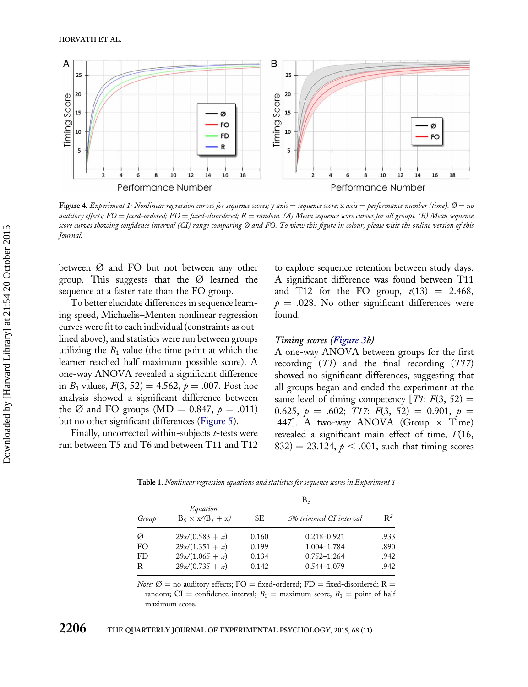<span id="page-7-0"></span>

Figure 4. Experiment 1: Nonlinear regression curves for sequence scores; y axis = sequence score; x axis = performance number (time).  $\emptyset$  = no auditory effects;  $FO = fixed-ordered$ ;  $FD = fixed-disordered$ ;  $R = random$ . (A) Mean sequence score curves for all groups. (B) Mean sequence score curves showing confidence interval (CI) range comparing Ø and FO. To view this figure in colour, please visit the online version of this Journal.

between Ø and FO but not between any other group. This suggests that the  $\varnothing$  learned the sequence at a faster rate than the FO group.

To better elucidate differences in sequence learning speed, Michaelis–Menten nonlinear regression curves were fit to each individual (constraints as outlined above), and statistics were run between groups utilizing the  $B_1$  value (the time point at which the learner reached half maximum possible score). A one-way ANOVA revealed a significant difference in  $B_1$  values,  $F(3, 52) = 4.562$ ,  $p = .007$ . Post hoc analysis showed a significant difference between the Ø and FO groups (MD = 0.847,  $\rho = .011$ ) but no other significant differences [\(Figure 5\)](#page-8-0).

Finally, uncorrected within-subjects *t*-tests were run between T5 and T6 and between T11 and T12

to explore sequence retention between study days. A significant difference was found between T11 and T12 for the FO group,  $t(13) = 2.468$ ,  $p = .028$ . No other significant differences were found.

#### Timing scores [\(Figure 3](#page-6-0)b)

A one-way ANOVA between groups for the first recording  $(T1)$  and the final recording  $(T17)$ showed no significant differences, suggesting that all groups began and ended the experiment at the same level of timing competency  $[T1: F(3, 52) =$ 0.625,  $p = .602$ ; T17:  $F(3, 52) = 0.901$ ,  $p =$ .447]. A two-way ANOVA (Group  $\times$  Time) revealed a significant main effect of time, F(16, 832) = 23.124,  $p < .001$ , such that timing scores

| Group | Equation<br>$B_0 \times x/(B_1 + x)$ |       |                        |       |
|-------|--------------------------------------|-------|------------------------|-------|
|       |                                      | SЕ    | 5% trimmed CI interval | $R^2$ |
| Ø     | $29x/(0.583 + x)$                    | 0.160 | $0.218 - 0.921$        | .933  |
| FO.   | $29x/(1.351+x)$                      | 0.199 | 1.004-1.784            | .890  |
| FD    | $29x/(1.065 + x)$                    | 0.134 | $0.752 - 1.264$        | .942  |
| R     | $29x/(0.735 + x)$                    | 0.142 | 0.544-1.079            | .942  |

Table 1. Nonlinear regression equations and statistics for sequence scores in Experiment 1

*Note:*  $\emptyset$  = no auditory effects: FO = fixed-ordered; FD = fixed-disordered; R = random; CI = confidence interval;  $B_0$  = maximum score,  $B_1$  = point of half maximum score.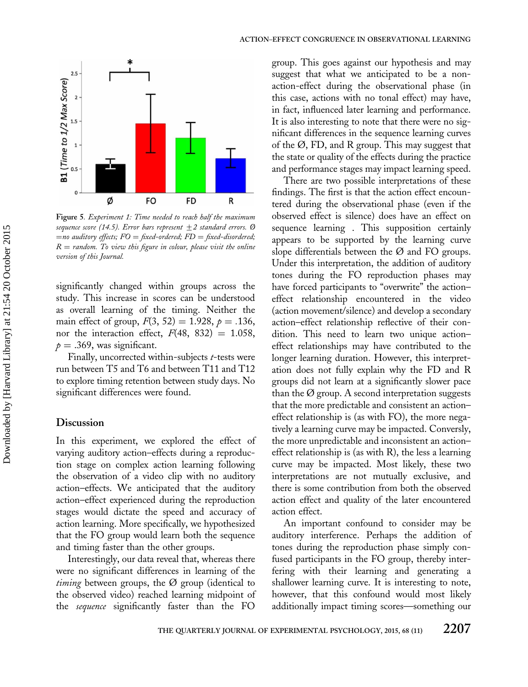<span id="page-8-0"></span>

Figure 5. Experiment 1: Time needed to reach half the maximum sequence score (14.5). Error bars represent  $\pm 2$  standard errors. Ø  $=$ no auditory effects;  $FO = fixed$ -ordered;  $FD = fixed$ -disordered;  $R =$  random. To view this figure in colour, please visit the online version of this Journal.

significantly changed within groups across the study. This increase in scores can be understood as overall learning of the timing. Neither the main effect of group,  $F(3, 52) = 1.928$ ,  $p = .136$ , nor the interaction effect,  $F(48, 832) = 1.058$ ,  $p = .369$ , was significant.

Finally, uncorrected within-subjects *t*-tests were run between T5 and T6 and between T11 and T12 to explore timing retention between study days. No significant differences were found.

## **Discussion**

In this experiment, we explored the effect of varying auditory action–effects during a reproduction stage on complex action learning following the observation of a video clip with no auditory action–effects. We anticipated that the auditory action–effect experienced during the reproduction stages would dictate the speed and accuracy of action learning. More specifically, we hypothesized that the FO group would learn both the sequence and timing faster than the other groups.

Interestingly, our data reveal that, whereas there were no significant differences in learning of the *timing* between groups, the  $\varnothing$  group (identical to the observed video) reached learning midpoint of the sequence significantly faster than the FO

group. This goes against our hypothesis and may suggest that what we anticipated to be a nonaction-effect during the observational phase (in this case, actions with no tonal effect) may have, in fact, influenced later learning and performance. It is also interesting to note that there were no significant differences in the sequence learning curves of the Ø, FD, and R group. This may suggest that the state or quality of the effects during the practice and performance stages may impact learning speed.

There are two possible interpretations of these findings. The first is that the action effect encountered during the observational phase (even if the observed effect is silence) does have an effect on sequence learning . This supposition certainly appears to be supported by the learning curve slope differentials between the  $\varnothing$  and FO groups. Under this interpretation, the addition of auditory tones during the FO reproduction phases may have forced participants to "overwrite" the action– effect relationship encountered in the video (action movement/silence) and develop a secondary action–effect relationship reflective of their condition. This need to learn two unique action– effect relationships may have contributed to the longer learning duration. However, this interpretation does not fully explain why the FD and R groups did not learn at a significantly slower pace than the  $\emptyset$  group. A second interpretation suggests that the more predictable and consistent an action– effect relationship is (as with FO), the more negatively a learning curve may be impacted. Conversly, the more unpredictable and inconsistent an action– effect relationship is (as with R), the less a learning curve may be impacted. Most likely, these two interpretations are not mutually exclusive, and there is some contribution from both the observed action effect and quality of the later encountered action effect.

An important confound to consider may be auditory interference. Perhaps the addition of tones during the reproduction phase simply confused participants in the FO group, thereby interfering with their learning and generating a shallower learning curve. It is interesting to note, however, that this confound would most likely additionally impact timing scores—something our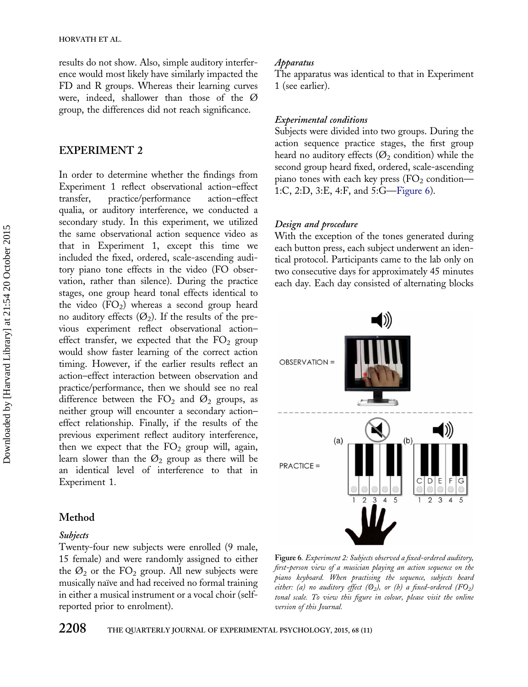<span id="page-9-0"></span>results do not show. Also, simple auditory interference would most likely have similarly impacted the FD and R groups. Whereas their learning curves were, indeed, shallower than those of the Ø group, the differences did not reach significance.

## EXPERIMENT 2

In order to determine whether the findings from Experiment 1 reflect observational action–effect transfer, practice/performance action–effect qualia, or auditory interference, we conducted a secondary study. In this experiment, we utilized the same observational action sequence video as that in Experiment 1, except this time we included the fixed, ordered, scale-ascending auditory piano tone effects in the video (FO observation, rather than silence). During the practice stages, one group heard tonal effects identical to the video  $(FO_2)$  whereas a second group heard no auditory effects  $(\mathcal{O}_2)$ . If the results of the previous experiment reflect observational action– effect transfer, we expected that the  $FO<sub>2</sub>$  group would show faster learning of the correct action timing. However, if the earlier results reflect an action–effect interaction between observation and practice/performance, then we should see no real difference between the  $FO<sub>2</sub>$  and  $O<sub>2</sub>$  groups, as neither group will encounter a secondary action– effect relationship. Finally, if the results of the previous experiment reflect auditory interference, then we expect that the  $FO<sub>2</sub>$  group will, again, learn slower than the  $\mathcal{O}_2$  group as there will be an identical level of interference to that in Experiment 1.

## Method

## Subjects

Twenty-four new subjects were enrolled (9 male, 15 female) and were randomly assigned to either the  $\mathcal{O}_2$  or the FO<sub>2</sub> group. All new subjects were musically naïve and had received no formal training in either a musical instrument or a vocal choir (selfreported prior to enrolment).

## Apparatus

The apparatus was identical to that in Experiment 1 (see earlier).

## Experimental conditions

Subjects were divided into two groups. During the action sequence practice stages, the first group heard no auditory effects ( $\mathcal{O}_2$  condition) while the second group heard fixed, ordered, scale-ascending piano tones with each key press  $(FO<sub>2</sub>$  condition— 1:C, 2:D, 3:E, 4:F, and 5:G—Figure 6).

## Design and procedure

With the exception of the tones generated during each button press, each subject underwent an identical protocol. Participants came to the lab only on two consecutive days for approximately 45 minutes each day. Each day consisted of alternating blocks



Figure 6. Experiment 2: Subjects observed a fixed-ordered auditory, first-person view of a musician playing an action sequence on the piano keyboard. When practising the sequence, subjects heard either: (a) no auditory effect ( $\mathcal{O}_2$ ), or (b) a fixed-ordered (F $O_2$ ) tonal scale. To view this figure in colour, please visit the online version of this Journal.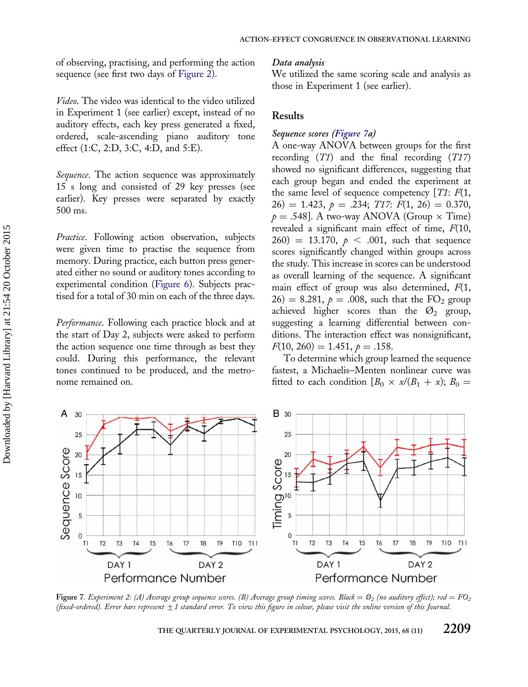<span id="page-10-0"></span>of observing, practising, and performing the action sequence (see first two days of [Figure 2\)](#page-5-0).

Video. The video was identical to the video utilized in Experiment 1 (see earlier) except, instead of no auditory effects, each key press generated a fixed, ordered, scale-ascending piano auditory tone effect (1:C, 2:D, 3:C, 4:D, and 5:E).

Sequence. The action sequence was approximately 15 s long and consisted of 29 key presses (see earlier). Key presses were separated by exactly 500 ms.

Practice. Following action observation, subjects were given time to practise the sequence from memory. During practice, each button press generated either no sound or auditory tones according to experimental condition [\(Figure 6\)](#page-9-0). Subjects practised for a total of 30 min on each of the three days.

Performance. Following each practice block and at the start of Day 2, subjects were asked to perform the action sequence one time through as best they could. During this performance, the relevant tones continued to be produced, and the metronome remained on.

#### Data analysis

We utilized the same scoring scale and analysis as those in Experiment 1 (see earlier).

## Results

## Sequence scores (Figure 7a)

A one-way ANOVA between groups for the first recording  $(T1)$  and the final recording  $(T17)$ showed no significant differences, suggesting that each group began and ended the experiment at the same level of sequence competency  $[T1: F(1,$  $26) = 1.423, p = .234; T17; F(1, 26) = 0.370,$  $p = .548$ ]. A two-way ANOVA (Group  $\times$  Time) revealed a significant main effect of time,  $F(10)$ ,  $(260) = 13.170, p < .001$ , such that sequence scores significantly changed within groups across the study. This increase in scores can be understood as overall learning of the sequence. A significant main effect of group was also determined,  $F(1,$  $26$  = 8.281,  $p = .008$ , such that the FO<sub>2</sub> group achieved higher scores than the  $\varnothing_2$  group, suggesting a learning differential between conditions. The interaction effect was nonsignificant,  $F(10, 260) = 1.451, p = .158.$ 

To determine which group learned the sequence fastest, a Michaelis–Menten nonlinear curve was fitted to each condition  $[B_0 \times \alpha/(B_1 + \alpha); B_0 =$ 



Figure 7. Experiment 2: (A) Average group sequence scores. (B) Average group timing scores. Black =  $\mathcal{O}_2$  (no auditory effect); red =  $FO_2$ (fixed-ordered). Error bars represent  $\pm 1$  standard error. To view this figure in colour, please visit the online version of this Journal.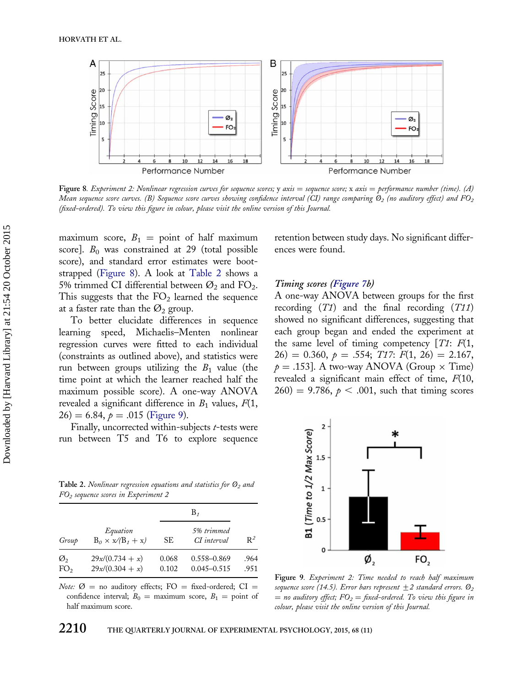

Figure 8. Experiment 2: Nonlinear regression curves for sequence scores; y axis = sequence score; x axis = performance number (time). (A) Mean sequence score curves. (B) Sequence score curves showing confidence interval (CI) range comparing  $\mathcal{O}_2$  (no auditory effect) and FO<sub>2</sub> (fixed-ordered). To view this figure in colour, please visit the online version of this Journal.

maximum score,  $B_1 =$  point of half maximum score].  $B_0$  was constrained at 29 (total possible score), and standard error estimates were bootstrapped (Figure 8). A look at Table 2 shows a 5% trimmed CI differential between  $\mathcal{O}_2$  and FO<sub>2</sub>. This suggests that the  $FO<sub>2</sub>$  learned the sequence at a faster rate than the  $\varnothing_2$  group.

To better elucidate differences in sequence learning speed, Michaelis–Menten nonlinear regression curves were fitted to each individual (constraints as outlined above), and statistics were run between groups utilizing the  $B_1$  value (the time point at which the learner reached half the maximum possible score). A one-way ANOVA revealed a significant difference in  $B_1$  values,  $F(1,$  $26$ ) = 6.84,  $p = .015$  (Figure 9).

Finally, uncorrected within-subjects t-tests were run between T5 and T6 to explore sequence

Table 2. Nonlinear regression equations and statistics for  $\mathcal{O}_2$  and FO2 sequence scores in Experiment 2

|                       |                                        | $B_{\tau}$     |                                |              |
|-----------------------|----------------------------------------|----------------|--------------------------------|--------------|
| Group                 | Equation<br>$B_0 \times x/(B_1 + x)$   | SЕ             | 5% trimmed<br>CI interval      | $R^2$        |
| Ø,<br>FO <sub>2</sub> | $29x/(0.734 + x)$<br>$29x/(0.304 + x)$ | 0.068<br>0.102 | 0.558-0.869<br>$0.045 - 0.515$ | .964<br>.951 |

Note:  $\emptyset$  = no auditory effects; FO = fixed-ordered; CI = confidence interval;  $B_0 =$  maximum score,  $B_1 =$  point of half maximum score.

retention between study days. No significant differences were found.

#### Timing scores [\(Figure 7](#page-10-0)b)

A one-way ANOVA between groups for the first recording  $(T1)$  and the final recording  $(T11)$ showed no significant differences, suggesting that each group began and ended the experiment at the same level of timing competency  $[T1: F(1,$  $26) = 0.360, p = .554; T17: F(1, 26) = 2.167,$  $p = .153$ . A two-way ANOVA (Group  $\times$  Time) revealed a significant main effect of time,  $F(10,$  $(260) = 9.786$ ,  $p < .001$ , such that timing scores



Figure 9. Experiment 2: Time needed to reach half maximum sequence score (14.5). Error bars represent  $\pm 2$  standard errors.  $\mathcal{O}_2$  $=$  no auditory effect;  $FO_2 =$  fixed-ordered. To view this figure in colour, please visit the online version of this Journal.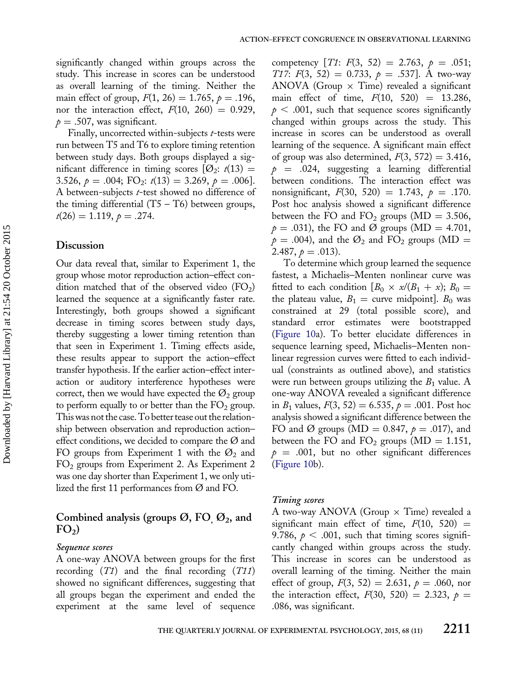significantly changed within groups across the study. This increase in scores can be understood as overall learning of the timing. Neither the main effect of group,  $F(1, 26) = 1.765$ ,  $p = .196$ , nor the interaction effect,  $F(10, 260) = 0.929$ ,  $p = .507$ , was significant.

Finally, uncorrected within-subjects *t*-tests were run between T5 and T6 to explore timing retention between study days. Both groups displayed a significant difference in timing scores  $[ $\emptyset$ <sub>2</sub>:  $t(13)$  =$ 3.526,  $p = .004$ ; FO<sub>2</sub>:  $t(13) = 3.269$ ,  $p = .006$ . A between-subjects *t*-test showed no difference of the timing differential  $(T5 - T6)$  between groups,  $t(26) = 1.119, p = .274.$ 

## Discussion

Our data reveal that, similar to Experiment 1, the group whose motor reproduction action–effect condition matched that of the observed video  $(FO<sub>2</sub>)$ learned the sequence at a significantly faster rate. Interestingly, both groups showed a significant decrease in timing scores between study days, thereby suggesting a lower timing retention than that seen in Experiment 1. Timing effects aside, these results appear to support the action–effect transfer hypothesis. If the earlier action–effect interaction or auditory interference hypotheses were correct, then we would have expected the  $\mathcal{O}_2$  group to perform equally to or better than the  $FO<sub>2</sub>$  group. This was not the case.To better tease out the relationship between observation and reproduction action– effect conditions, we decided to compare the  $\varnothing$  and FO groups from Experiment 1 with the  $\mathcal{O}_2$  and FO2 groups from Experiment 2. As Experiment 2 was one day shorter than Experiment 1, we only utilized the first 11 performances from Ø and FO.

# Combined analysis (groups  $\varnothing$ , FO<sub>,  $\varnothing$ 2, and</sub>  $FO<sub>2</sub>$ )

#### Sequence scores

A one-way ANOVA between groups for the first recording  $(T1)$  and the final recording  $(T11)$ showed no significant differences, suggesting that all groups began the experiment and ended the experiment at the same level of sequence

competency  $[T1: F(3, 52) = 2.763, p = .051;$ T17:  $F(3, 52) = 0.733$ ,  $p = .537$ . A two-way ANOVA (Group  $\times$  Time) revealed a significant main effect of time,  $F(10, 520) = 13.286$ ,  $p < .001$ , such that sequence scores significantly changed within groups across the study. This increase in scores can be understood as overall learning of the sequence. A significant main effect of group was also determined,  $F(3, 572) = 3.416$ ,  $p = .024$ , suggesting a learning differential between conditions. The interaction effect was nonsignificant,  $F(30, 520) = 1.743$ ,  $p = .170$ . Post hoc analysis showed a significant difference between the FO and  $FO_2$  groups (MD = 3.506,  $p = .031$ , the FO and Ø groups (MD = 4.701,  $p = .004$ ), and the  $\mathcal{O}_2$  and FO<sub>2</sub> groups (MD = 2.487,  $p = .013$ ).

To determine which group learned the sequence fastest, a Michaelis–Menten nonlinear curve was fitted to each condition  $[B_0 \times \alpha/(B_1 + \alpha); B_0 =$ the plateau value,  $B_1 =$  curve midpoint].  $B_0$  was constrained at 29 (total possible score), and standard error estimates were bootstrapped [\(Figure 10](#page-13-0)a). To better elucidate differences in sequence learning speed, Michaelis–Menten nonlinear regression curves were fitted to each individual (constraints as outlined above), and statistics were run between groups utilizing the  $B_1$  value. A one-way ANOVA revealed a significant difference in  $B_1$  values,  $F(3, 52) = 6.535$ ,  $p = .001$ . Post hoc analysis showed a significant difference between the FO and Ø groups (MD = 0.847,  $p = .017$ ), and between the FO and FO<sub>2</sub> groups (MD = 1.151,  $p = .001$ , but no other significant differences [\(Figure 10](#page-13-0)b).

#### Timing scores

A two-way ANOVA (Group  $\times$  Time) revealed a significant main effect of time,  $F(10, 520) =$ 9.786,  $p < .001$ , such that timing scores significantly changed within groups across the study. This increase in scores can be understood as overall learning of the timing. Neither the main effect of group,  $F(3, 52) = 2.631$ ,  $p = .060$ , nor the interaction effect,  $F(30, 520) = 2.323$ ,  $p =$ .086, was significant.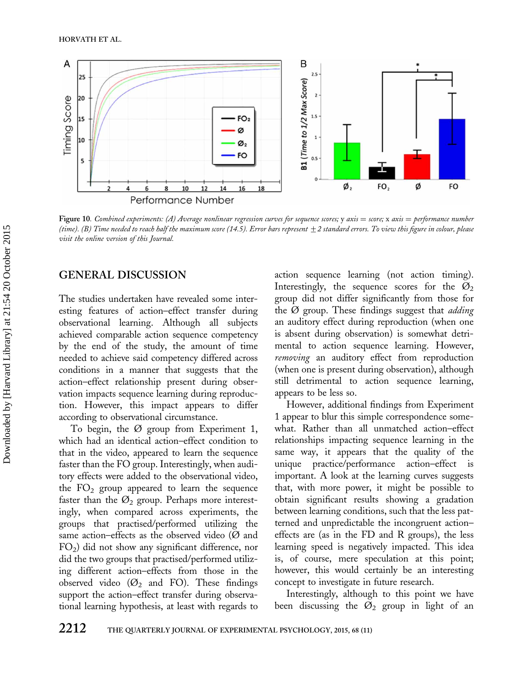<span id="page-13-0"></span>

Figure 10. Combined experiments: (A) Average nonlinear regression curves for sequence scores; y axis = score; x axis = performance number (time). (B) Time needed to reach half the maximum score (14.5). Error bars represent  $\pm 2$  standard errors. To view this figure in colour, please visit the online version of this Journal.

# GENERAL DISCUSSION

The studies undertaken have revealed some interesting features of action–effect transfer during observational learning. Although all subjects achieved comparable action sequence competency by the end of the study, the amount of time needed to achieve said competency differed across conditions in a manner that suggests that the action–effect relationship present during observation impacts sequence learning during reproduction. However, this impact appears to differ according to observational circumstance.

To begin, the Ø group from Experiment 1, which had an identical action–effect condition to that in the video, appeared to learn the sequence faster than the FO group. Interestingly, when auditory effects were added to the observational video, the  $FO<sub>2</sub>$  group appeared to learn the sequence faster than the  $\mathcal{O}_2$  group. Perhaps more interestingly, when compared across experiments, the groups that practised/performed utilizing the same action–effects as the observed video ( $\varnothing$  and  $FO<sub>2</sub>$ ) did not show any significant difference, nor did the two groups that practised/performed utilizing different action–effects from those in the observed video ( $\varnothing$ <sub>2</sub> and FO). These findings support the action–effect transfer during observational learning hypothesis, at least with regards to action sequence learning (not action timing). Interestingly, the sequence scores for the  $\varnothing_2$ group did not differ significantly from those for the  $\emptyset$  group. These findings suggest that *adding* an auditory effect during reproduction (when one is absent during observation) is somewhat detrimental to action sequence learning. However, removing an auditory effect from reproduction (when one is present during observation), although still detrimental to action sequence learning, appears to be less so.

However, additional findings from Experiment 1 appear to blur this simple correspondence somewhat. Rather than all unmatched action–effect relationships impacting sequence learning in the same way, it appears that the quality of the unique practice/performance action–effect is important. A look at the learning curves suggests that, with more power, it might be possible to obtain significant results showing a gradation between learning conditions, such that the less patterned and unpredictable the incongruent action– effects are (as in the FD and R groups), the less learning speed is negatively impacted. This idea is, of course, mere speculation at this point; however, this would certainly be an interesting concept to investigate in future research.

Interestingly, although to this point we have been discussing the  $\varnothing_2$  group in light of an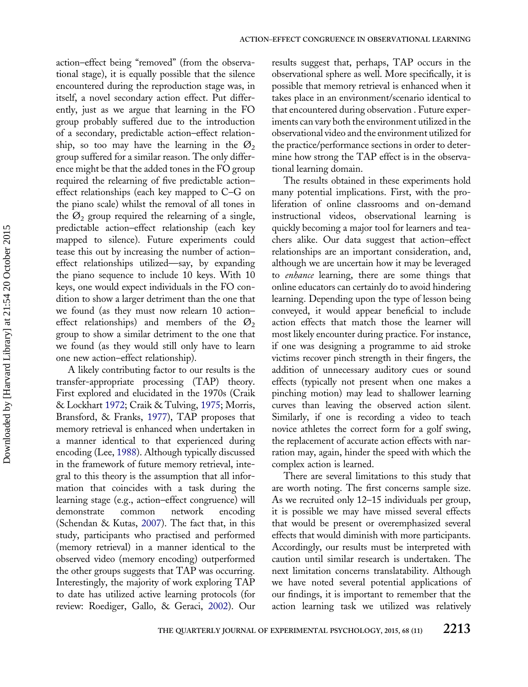action–effect being "removed" (from the observational stage), it is equally possible that the silence encountered during the reproduction stage was, in itself, a novel secondary action effect. Put differently, just as we argue that learning in the FO group probably suffered due to the introduction of a secondary, predictable action–effect relationship, so too may have the learning in the  $\mathcal{O}_2$ group suffered for a similar reason. The only difference might be that the added tones in the FO group required the relearning of five predictable action– effect relationships (each key mapped to C–G on the piano scale) whilst the removal of all tones in the  $\mathcal{O}_2$  group required the relearning of a single, predictable action–effect relationship (each key mapped to silence). Future experiments could tease this out by increasing the number of action– effect relationships utilized—say, by expanding the piano sequence to include 10 keys. With 10 keys, one would expect individuals in the FO condition to show a larger detriment than the one that we found (as they must now relearn 10 action– effect relationships) and members of the  $\mathcal{O}_2$ group to show a similar detriment to the one that we found (as they would still only have to learn one new action–effect relationship).

A likely contributing factor to our results is the transfer-appropriate processing (TAP) theory. First explored and elucidated in the 1970s (Craik & Lockhart [1972;](#page-15-0) Craik & Tulving, [1975;](#page-15-0) Morris, Bransford, & Franks, [1977\)](#page-15-0), TAP proposes that memory retrieval is enhanced when undertaken in a manner identical to that experienced during encoding (Lee, [1988\)](#page-15-0). Although typically discussed in the framework of future memory retrieval, integral to this theory is the assumption that all information that coincides with a task during the learning stage (e.g., action–effect congruence) will demonstrate common network encoding (Schendan & Kutas, [2007\)](#page-16-0). The fact that, in this study, participants who practised and performed (memory retrieval) in a manner identical to the observed video (memory encoding) outperformed the other groups suggests that TAP was occurring. Interestingly, the majority of work exploring TAP to date has utilized active learning protocols (for review: Roediger, Gallo, & Geraci, [2002](#page-16-0)). Our results suggest that, perhaps, TAP occurs in the observational sphere as well. More specifically, it is possible that memory retrieval is enhanced when it takes place in an environment/scenario identical to that encountered during observation . Future experiments can vary both the environment utilized in the observational video and the environment utilized for the practice/performance sections in order to determine how strong the TAP effect is in the observational learning domain.

The results obtained in these experiments hold many potential implications. First, with the proliferation of online classrooms and on-demand instructional videos, observational learning is quickly becoming a major tool for learners and teachers alike. Our data suggest that action–effect relationships are an important consideration, and, although we are uncertain how it may be leveraged to enhance learning, there are some things that online educators can certainly do to avoid hindering learning. Depending upon the type of lesson being conveyed, it would appear beneficial to include action effects that match those the learner will most likely encounter during practice. For instance, if one was designing a programme to aid stroke victims recover pinch strength in their fingers, the addition of unnecessary auditory cues or sound effects (typically not present when one makes a pinching motion) may lead to shallower learning curves than leaving the observed action silent. Similarly, if one is recording a video to teach novice athletes the correct form for a golf swing, the replacement of accurate action effects with narration may, again, hinder the speed with which the complex action is learned.

There are several limitations to this study that are worth noting. The first concerns sample size. As we recruited only 12–15 individuals per group, it is possible we may have missed several effects that would be present or overemphasized several effects that would diminish with more participants. Accordingly, our results must be interpreted with caution until similar research is undertaken. The next limitation concerns translatability. Although we have noted several potential applications of our findings, it is important to remember that the action learning task we utilized was relatively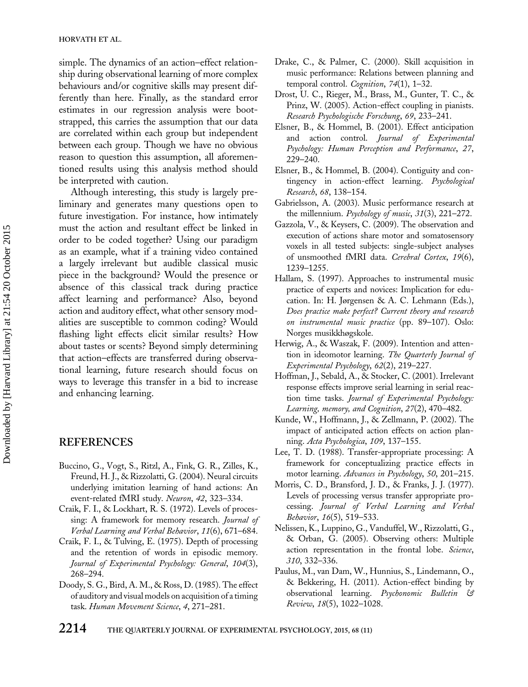<span id="page-15-0"></span>simple. The dynamics of an action–effect relationship during observational learning of more complex behaviours and/or cognitive skills may present differently than here. Finally, as the standard error estimates in our regression analysis were bootstrapped, this carries the assumption that our data are correlated within each group but independent between each group. Though we have no obvious reason to question this assumption, all aforementioned results using this analysis method should be interpreted with caution.

Although interesting, this study is largely preliminary and generates many questions open to future investigation. For instance, how intimately must the action and resultant effect be linked in order to be coded together? Using our paradigm as an example, what if a training video contained a largely irrelevant but audible classical music piece in the background? Would the presence or absence of this classical track during practice affect learning and performance? Also, beyond action and auditory effect, what other sensory modalities are susceptible to common coding? Would flashing light effects elicit similar results? How about tastes or scents? Beyond simply determining that action–effects are transferred during observational learning, future research should focus on ways to leverage this transfer in a bid to increase and enhancing learning.

# REFERENCES

- Buccino, G., Vogt, S., Ritzl, A., Fink, G. R., Zilles, K., Freund, H. J., & Rizzolatti, G. (2004). Neural circuits underlying imitation learning of hand actions: An event-related fMRI study. Neuron, 42, 323–334.
- Craik, F. I., & Lockhart, R. S. (1972). Levels of processing: A framework for memory research. Journal of Verbal Learning and Verbal Behavior, 11(6), 671–684.
- Craik, F. I., & Tulving, E. (1975). Depth of processing and the retention of words in episodic memory. Journal of Experimental Psychology: General, 104(3), 268–294.
- Doody, S. G., Bird, A. M., & Ross, D. (1985). The effect of auditory and visual models on acquisition of a timing task. Human Movement Science, 4, 271–281.
- Drake, C., & Palmer, C. (2000). Skill acquisition in music performance: Relations between planning and temporal control. Cognition, 74(1), 1–32.
- Drost, U. C., Rieger, M., Brass, M., Gunter, T. C., & Prinz, W. (2005). Action-effect coupling in pianists. Research Psychologische Forschung, 69, 233–241.
- Elsner, B., & Hommel, B. (2001). Effect anticipation and action control. Journal of Experimental Psychology: Human Perception and Performance, 27, 229–240.
- Elsner, B., & Hommel, B. (2004). Contiguity and contingency in action-effect learning. Psychological Research, 68, 138–154.
- Gabrielsson, A. (2003). Music performance research at the millennium. Psychology of music, 31(3), 221–272.
- Gazzola, V., & Keysers, C. (2009). The observation and execution of actions share motor and somatosensory voxels in all tested subjects: single-subject analyses of unsmoothed fMRI data. Cerebral Cortex, 19(6), 1239–1255.
- Hallam, S. (1997). Approaches to instrumental music practice of experts and novices: Implication for education. In: H. Jørgensen & A. C. Lehmann (Eds.), Does practice make perfect? Current theory and research on instrumental music practice (pp. 89–107). Oslo: Norges musikkhøgskole.
- Herwig, A., & Waszak, F. (2009). Intention and attention in ideomotor learning. The Quarterly Journal of Experimental Psychology, 62(2), 219–227.
- Hoffman, J., Sebald, A., & Stocker, C. (2001). Irrelevant response effects improve serial learning in serial reaction time tasks. Journal of Experimental Psychology: Learning, memory, and Cognition, 27(2), 470–482.
- Kunde, W., Hoffmann, J., & Zellmann, P. (2002). The impact of anticipated action effects on action planning. Acta Psychologica, 109, 137–155.
- Lee, T. D. (1988). Transfer-appropriate processing: A framework for conceptualizing practice effects in motor learning. Advances in Psychology, 50, 201–215.
- Morris, C. D., Bransford, J. D., & Franks, J. J. (1977). Levels of processing versus transfer appropriate processing. Journal of Verbal Learning and Verbal Behavior, 16(5), 519–533.
- Nelissen, K., Luppino, G., Vanduffel, W., Rizzolatti, G., & Orban, G. (2005). Observing others: Multiple action representation in the frontal lobe. Science, 310, 332–336.
- Paulus, M., van Dam, W., Hunnius, S., Lindemann, O., & Bekkering, H. (2011). Action-effect binding by observational learning. Psychonomic Bulletin & Review, 18(5), 1022–1028.